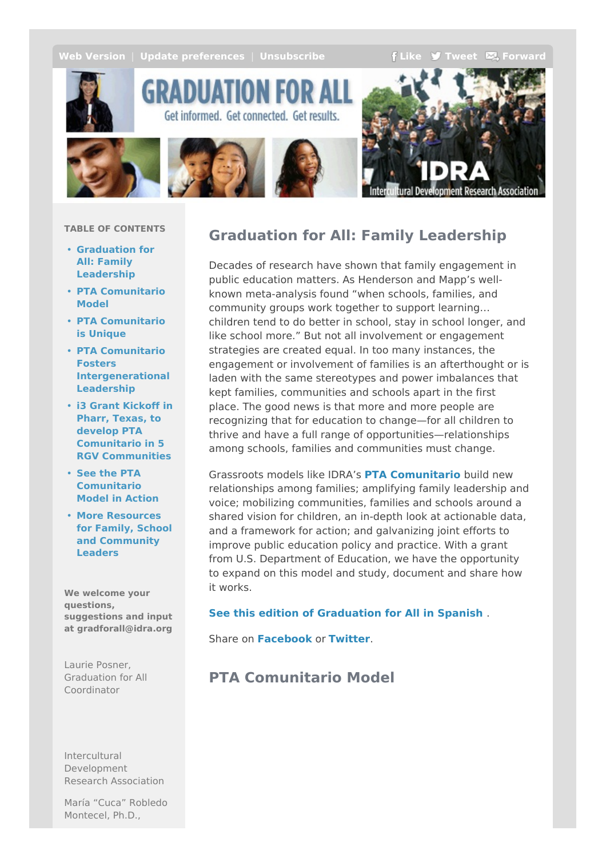<span id="page-0-0"></span>**Web [Version](http://idra.createsend1.com/t/r-e-ouihlyk-l-r/)** | **Update** [preferences](http://idra.updatemyprofile.com/r-l-2AD73FFF-l-y) | **[Unsubscribe](http://idra.createsend1.com/t/r-u-ouihlyk-l-j/) F[Like](/t/r-fb-ouihlyk-l-i/?act=wv) J** [Tweet](http://idra.createsend1.com/t/r-tw-ouihlyk-l-h/)  $\sum$  [Forward](http://idra.forwardtomyfriend.com/r-l-2AD73FFF-ouihlyk-l-u)



GRADUATION FOR A Get informed. Get connected. Get results.





#### **TABLE OF CONTENTS**

- **[Graduation](#page-0-0) for All: Family Leadership**
- **PTA [Comunitario](#page-0-0) Model**
- **PTA [Comunitario](#page-0-0) is Unique**
- **PTA Comunitario Fosters [Intergenerational](#page-0-0) Leadership**
- **i3 Grant Kickoff in Pharr, Texas, to develop PTA Comunitario in 5 RGV [Communities](#page-0-0)**
- **See the PTA [Comunitario](#page-0-0) Model in Action**
- **More Resources for Family, School and [Community](#page-0-0) Leaders**

**We welcome your questions, suggestions and input at gradforall@idra.org**

Laurie Posner, Graduation for All Coordinator

Intercultural Development Research Association

María "Cuca" Robledo Montecel, Ph.D.,

## **Graduation for All: Family Leadership**

Decades of research have shown that family engagement in public education matters. As Henderson and Mapp's wellknown meta-analysis found "when schools, families, and community groups work together to support learning… children tend to do better in school, stay in school longer, and like school more." But not all involvement or engagement strategies are created equal. In too many instances, the engagement or involvement of families is an afterthought or is laden with the same stereotypes and power imbalances that kept families, communities and schools apart in the first place. The good news is that more and more people are recognizing that for education to change—for all children to thrive and have a full range of opportunities—relationships among schools, families and communities must change.

Grassroots models like IDRA's **PTA [Comunitario](http://idra.createsend1.com/t/r-l-ouihlyk-l-e/)** build new relationships among families; amplifying family leadership and voice; mobilizing communities, families and schools around a shared vision for children, an in-depth look at actionable data, and a framework for action; and galvanizing joint efforts to improve public education policy and practice. With a grant from U.S. Department of Education, we have the opportunity to expand on this model and study, document and share how it works.

#### **See this edition of [Graduation](http://idra.createsend1.com/t/r-l-ouihlyk-l-s/) for All in Spanish** .

Share on **[Facebook](/t/r-fb-ouihlyk-l-il/?act=wv)** or **[Twitter](http://idra.createsend1.com/t/r-tw-ouihlyk-l-ir/)**.

## **PTA Comunitario Model**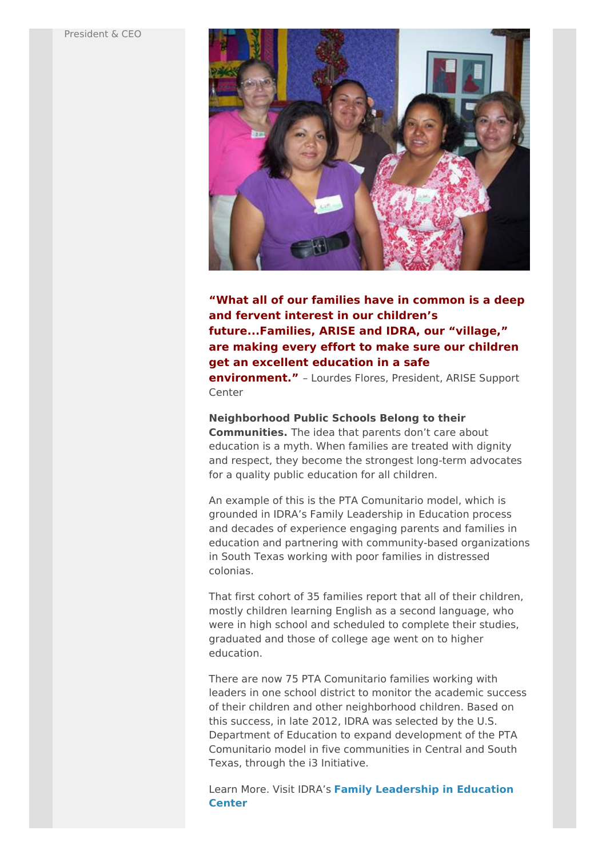

### **"What all of our families have in common is a deep and fervent interest in our children's future...Families, ARISE and IDRA, our "village," are making every effort to make sure our children get an excellent education in a safe**

**environment."** – Lourdes Flores, President, ARISE Support Center

#### **Neighborhood Public Schools Belong to their**

**Communities.** The idea that parents don't care about education is a myth. When families are treated with dignity and respect, they become the strongest long-term advocates for a quality public education for all children.

An example of this is the PTA Comunitario model, which is grounded in IDRA's Family Leadership in Education process and decades of experience engaging parents and families in education and partnering with community-based organizations in South Texas working with poor families in distressed colonias.

That first cohort of 35 families report that all of their children, mostly children learning English as a second language, who were in high school and scheduled to complete their studies, graduated and those of college age went on to higher education.

There are now 75 PTA Comunitario families working with leaders in one school district to monitor the academic success of their children and other neighborhood children. Based on this success, in late 2012, IDRA was selected by the U.S. Department of Education to expand development of the PTA Comunitario model in five communities in Central and South Texas, through the i3 Initiative.

Learn More. Visit IDRA's **Family [Leadership](http://idra.createsend1.com/t/r-l-ouihlyk-l-g/) in Education Center**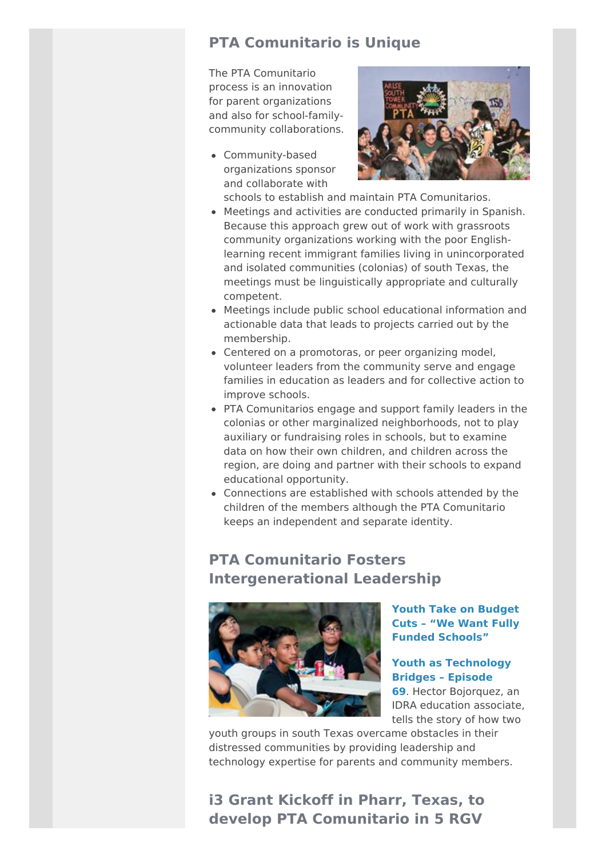## **PTA Comunitario is Unique**

The PTA Comunitario process is an innovation for parent organizations and also for school-familycommunity collaborations.

Community-based organizations sponsor and collaborate with



- schools to establish and maintain PTA Comunitarios.
- Meetings and activities are conducted primarily in Spanish. Because this approach grew out of work with grassroots community organizations working with the poor Englishlearning recent immigrant families living in unincorporated and isolated communities (colonias) of south Texas, the meetings must be linguistically appropriate and culturally competent.
- Meetings include public school educational information and actionable data that leads to projects carried out by the membership.
- Centered on a promotoras, or peer organizing model, volunteer leaders from the community serve and engage families in education as leaders and for collective action to improve schools.
- PTA Comunitarios engage and support family leaders in the colonias or other marginalized neighborhoods, not to play auxiliary or fundraising roles in schools, but to examine data on how their own children, and children across the region, are doing and partner with their schools to expand educational opportunity.
- Connections are established with schools attended by the children of the members although the PTA Comunitario keeps an independent and separate identity.

## **PTA Comunitario Fosters Intergenerational Leadership**



**Youth Take on Budget Cuts – "We Want Fully Funded [Schools"](http://idra.createsend1.com/t/r-l-ouihlyk-l-w/)**

### **Youth as [Technology](http://idra.createsend1.com/t/r-l-ouihlyk-l-yd/) Bridges – Episode**

**69**. Hector Bojorquez, an IDRA education associate, tells the story of how two

youth groups in south Texas overcame obstacles in their distressed communities by providing leadership and technology expertise for parents and community members.

# **i3 Grant Kickoff in Pharr, Texas, to develop PTA Comunitario in 5 RGV**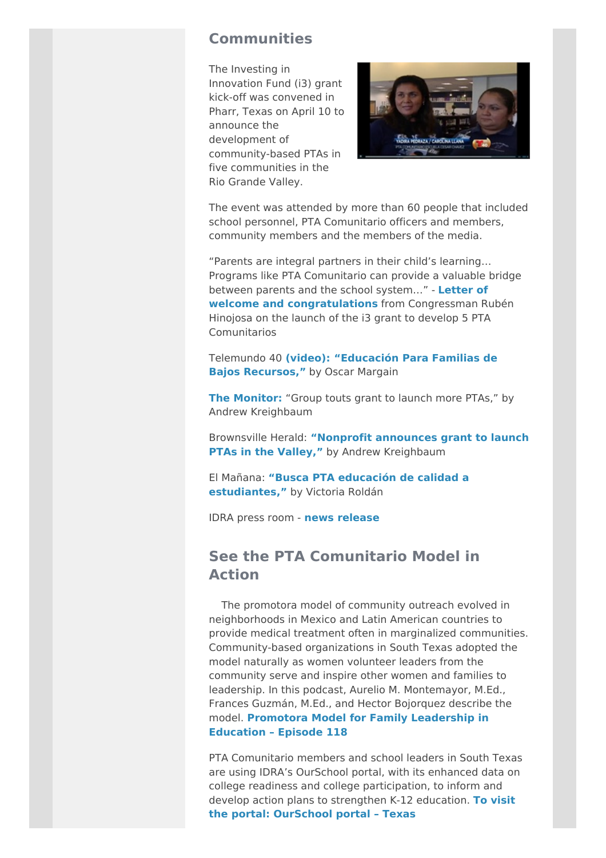### **Communities**

The Investing in Innovation Fund (i3) grant kick-off was convened in Pharr, Texas on April 10 to announce the development of community-based PTAs in five communities in the Rio Grande Valley.



The event was attended by more than 60 people that included school personnel, PTA Comunitario officers and members, community members and the members of the media.

"Parents are integral partners in their child's learning… Programs like PTA Comunitario can provide a valuable bridge between parents and the school system…" - **Letter of welcome and [congratulations](http://idra.createsend1.com/t/r-l-ouihlyk-l-yh/)** from Congressman Rubén Hinojosa on the launch of the i3 grant to develop 5 PTA **Comunitarios** 

Telemundo 40 **[\(](http://idra.createsend1.com/t/r-l-ouihlyk-l-yk/)[video](http://idra.createsend1.com/t/r-l-ouihlyk-l-yu/)[\):](http://idra.createsend1.com/t/r-l-ouihlyk-l-jl/) ["Educación](http://idra.createsend1.com/t/r-l-ouihlyk-l-jr/) Para Familias de Bajos Recursos,"** by Oscar Margain

**The [Monitor:](http://idra.createsend1.com/t/r-l-ouihlyk-l-jy/)** "Group touts grant to launch more PTAs," by Andrew Kreighbaum

Brownsville Herald: **"Nonprofit [announces](http://idra.createsend1.com/t/r-l-ouihlyk-l-jj/) grant to launch PTAs in the Valley,"** by Andrew Kreighbaum

El Mañana: **"Busca PTA educación de calidad a [estudiantes,"](http://idra.createsend1.com/t/r-l-ouihlyk-l-jt/)** by Victoria Roldán

IDRA press room - **news [release](http://idra.createsend1.com/t/r-l-ouihlyk-l-ji/)**

## **See the PTA Comunitario Model in Action**

The promotora model of community outreach evolved in neighborhoods in Mexico and Latin American countries to provide medical treatment often in marginalized communities. Community-based organizations in South Texas adopted the model naturally as women volunteer leaders from the community serve and inspire other women and families to leadership. In this podcast, Aurelio M. Montemayor, M.Ed., Frances Guzmán, M.Ed., and Hector Bojorquez describe the model. **Promotora Model for Family [Leadership](http://idra.createsend1.com/t/r-l-ouihlyk-l-jd/) in Education – Episode 118**

PTA Comunitario members and school leaders in South Texas are using IDRA's OurSchool portal, with its enhanced data on college readiness and college participation, to inform and develop action plans to [strengthen](http://idra.createsend1.com/t/r-l-ouihlyk-l-jh/) K-12 education. **To visit the portal: OurSchool portal – Texas**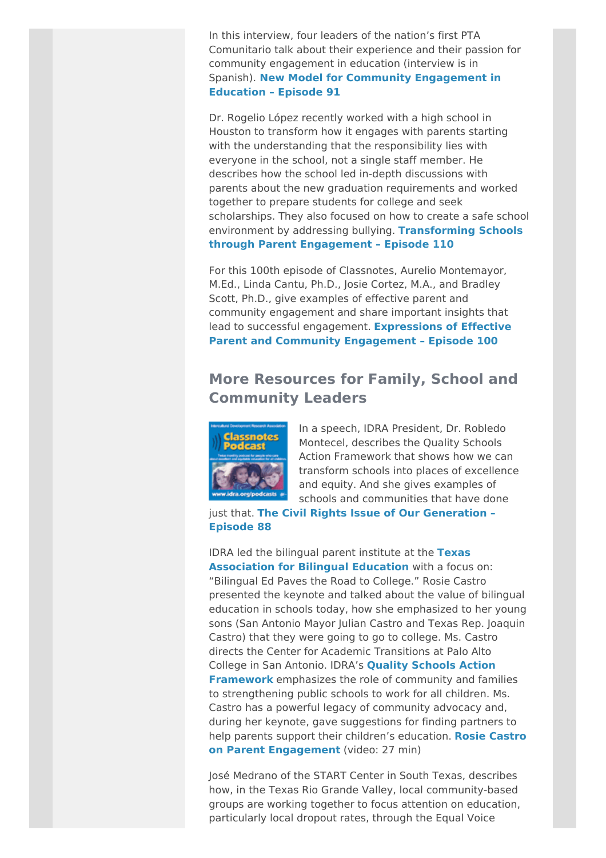In this interview, four leaders of the nation's first PTA Comunitario talk about their experience and their passion for community engagement in education (interview is in Spanish). **New Model for Community [Engagement](http://idra.createsend1.com/t/r-l-ouihlyk-l-jk/) in Education – Episode 91**

Dr. Rogelio López recently worked with a high school in Houston to transform how it engages with parents starting with the understanding that the responsibility lies with everyone in the school, not a single staff member. He describes how the school led in-depth discussions with parents about the new graduation requirements and worked together to prepare students for college and seek scholarships. They also focused on how to create a safe school environment by addressing bullying. **[Transforming](http://idra.createsend1.com/t/r-l-ouihlyk-l-ju/) Schools through Parent Engagement – Episode 110**

For this 100th episode of Classnotes, Aurelio Montemayor, M.Ed., Linda Cantu, Ph.D., Josie Cortez, M.A., and Bradley Scott, Ph.D., give examples of effective parent and community engagement and share important insights that lead to successful engagement. **Expressions of Effective Parent and Community [Engagement](http://idra.createsend1.com/t/r-l-ouihlyk-l-tl/) – Episode 100**

## **More Resources for Family, School and Community Leaders**



In a speech, IDRA President, Dr. Robledo Montecel, describes the Quality Schools Action Framework that shows how we can transform schools into places of excellence and equity. And she gives examples of schools and communities that have done

just that. **The Civil Rights Issue of Our [Generation](http://idra.createsend1.com/t/r-l-ouihlyk-l-tr/) – Episode 88**

IDRA led the bilingual parent institute at the **Texas [Association](http://idra.createsend1.com/t/r-l-ouihlyk-l-ty/) for Bilingual Education** with a focus on: "Bilingual Ed Paves the Road to College." Rosie Castro presented the keynote and talked about the value of bilingual education in schools today, how she emphasized to her young sons (San Antonio Mayor Julian Castro and Texas Rep. Joaquin Castro) that they were going to go to college. Ms. Castro directs the Center for Academic Transitions at Palo Alto College in San Antonio. IDRA's **Quality Schools Action [Framework](http://idra.createsend1.com/t/r-l-ouihlyk-l-tj/)** emphasizes the role of community and families to strengthening public schools to work for all children. Ms. Castro has a powerful legacy of community advocacy and, during her keynote, gave suggestions for finding partners to help parents support their children's education. **Rosie Castro on Parent [Engagement](http://idra.createsend1.com/t/r-l-ouihlyk-l-tt/)** (video: 27 min)

José Medrano of the START Center in South Texas, describes how, in the Texas Rio Grande Valley, local community-based groups are working together to focus attention on education, particularly local dropout rates, through the Equal Voice